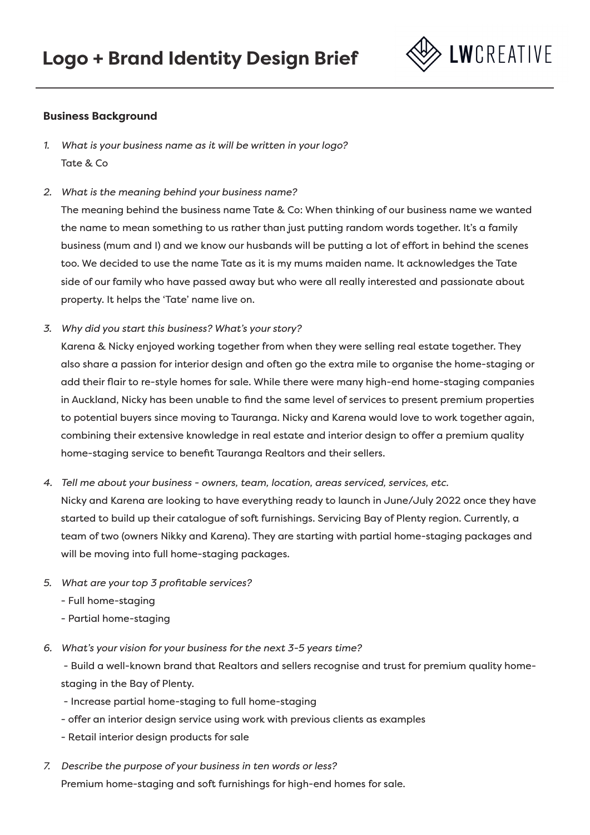

### **Business Background**

- *1. What is your business name as it will be written in your logo?*  Tate & Co
- *2. What is the meaning behind your business name?*

The meaning behind the business name Tate & Co: When thinking of our business name we wanted the name to mean something to us rather than just putting random words together. It's a family business (mum and I) and we know our husbands will be putting a lot of effort in behind the scenes too. We decided to use the name Tate as it is my mums maiden name. It acknowledges the Tate side of our family who have passed away but who were all really interested and passionate about property. It helps the 'Tate' name live on.

*3. Why did you start this business? What's your story?*

Karena & Nicky enjoyed working together from when they were selling real estate together. They also share a passion for interior design and often go the extra mile to organise the home-staging or add their flair to re-style homes for sale. While there were many high-end home-staging companies in Auckland, Nicky has been unable to find the same level of services to present premium properties to potential buyers since moving to Tauranga. Nicky and Karena would love to work together again, combining their extensive knowledge in real estate and interior design to offer a premium quality home-staging service to benefit Tauranga Realtors and their sellers.

- *4. Tell me about your business owners, team, location, areas serviced, services, etc.* Nicky and Karena are looking to have everything ready to launch in June/July 2022 once they have started to build up their catalogue of soft furnishings. Servicing Bay of Plenty region. Currently, a team of two (owners Nikky and Karena). They are starting with partial home-staging packages and will be moving into full home-staging packages.
- *5. What are your top 3 profitable services?* 
	- Full home-staging
	- Partial home-staging
- *6. What's your vision for your business for the next 3-5 years time?*

 - Build a well-known brand that Realtors and sellers recognise and trust for premium quality homestaging in the Bay of Plenty.

- Increase partial home-staging to full home-staging
- offer an interior design service using work with previous clients as examples
- Retail interior design products for sale
- *7. Describe the purpose of your business in ten words or less?*

Premium home-staging and soft furnishings for high-end homes for sale.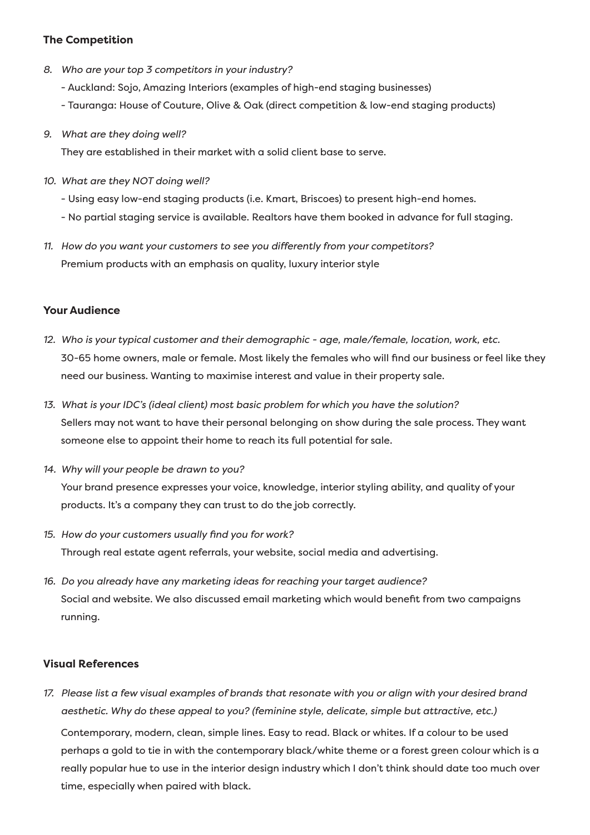## **The Competition**

- *8. Who are your top 3 competitors in your industry?*
	- Auckland: Sojo, Amazing Interiors (examples of high-end staging businesses)
	- Tauranga: House of Couture, Olive & Oak (direct competition & low-end staging products)
- *9. What are they doing well?*

They are established in their market with a solid client base to serve.

- *10. What are they NOT doing well?*
	- Using easy low-end staging products (i.e. Kmart, Briscoes) to present high-end homes.
	- No partial staging service is available. Realtors have them booked in advance for full staging.
- *11. How do you want your customers to see you differently from your competitors?* Premium products with an emphasis on quality, luxury interior style

# **Your Audience**

- *12. Who is your typical customer and their demographic age, male/female, location, work, etc.*  30-65 home owners, male or female. Most likely the females who will find our business or feel like they need our business. Wanting to maximise interest and value in their property sale.
- *13. What is your IDC's (ideal client) most basic problem for which you have the solution?* Sellers may not want to have their personal belonging on show during the sale process. They want someone else to appoint their home to reach its full potential for sale.
- *14. Why will your people be drawn to you?* Your brand presence expresses your voice, knowledge, interior styling ability, and quality of your products. It's a company they can trust to do the job correctly.
- *15. How do your customers usually find you for work?* Through real estate agent referrals, your website, social media and advertising.
- *16. Do you already have any marketing ideas for reaching your target audience?* Social and website. We also discussed email marketing which would benefit from two campaigns running.

### **Visual References**

*17. Please list a few visual examples of brands that resonate with you or align with your desired brand aesthetic. Why do these appeal to you? (feminine style, delicate, simple but attractive, etc.)*

Contemporary, modern, clean, simple lines. Easy to read. Black or whites. If a colour to be used perhaps a gold to tie in with the contemporary black/white theme or a forest green colour which is a really popular hue to use in the interior design industry which I don't think should date too much over time, especially when paired with black.